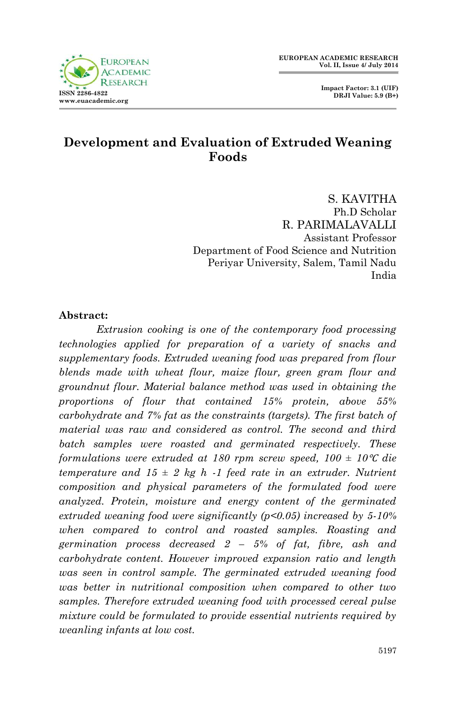

 **Impact Factor: 3.1 (UIF) DRJI Value: 5.9 (B+)**

## **Development and Evaluation of Extruded Weaning Foods**

S. KAVITHA Ph.D Scholar R. PARIMALAVALLI Assistant Professor Department of Food Science and Nutrition Periyar University, Salem, Tamil Nadu India

#### **Abstract:**

*Extrusion cooking is one of the contemporary food processing technologies applied for preparation of a variety of snacks and supplementary foods. Extruded weaning food was prepared from flour blends made with wheat flour, maize flour, green gram flour and groundnut flour. Material balance method was used in obtaining the proportions of flour that contained 15% protein, above 55% carbohydrate and 7% fat as the constraints (targets). The first batch of material was raw and considered as control. The second and third batch samples were roasted and germinated respectively. These formulations were extruded at 180 rpm screw speed, 100 ± 10*℃ *die temperature and*  $15 \pm 2$  *kg h -1 feed rate in an extruder. Nutrient composition and physical parameters of the formulated food were analyzed. Protein, moisture and energy content of the germinated extruded weaning food were significantly (p<0.05) increased by 5-10% when compared to control and roasted samples. Roasting and germination process decreased 2 – 5% of fat, fibre, ash and carbohydrate content. However improved expansion ratio and length was seen in control sample. The germinated extruded weaning food was better in nutritional composition when compared to other two samples. Therefore extruded weaning food with processed cereal pulse mixture could be formulated to provide essential nutrients required by weanling infants at low cost.*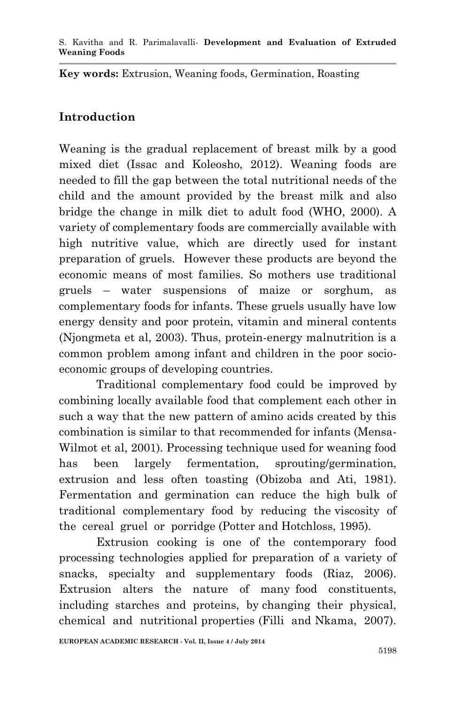**Key words:** Extrusion, Weaning foods, Germination, Roasting

## **Introduction**

Weaning is the gradual replacement of breast milk by a good mixed diet (Issac and Koleosho, 2012). Weaning foods are needed to fill the gap between the total nutritional needs of the child and the amount provided by the breast milk and also bridge the change in milk diet to adult food (WHO, 2000). A variety of complementary foods are commercially available with high nutritive value, which are directly used for instant preparation of gruels. However these products are beyond the economic means of most families. So mothers use traditional gruels – water suspensions of maize or sorghum, as complementary foods for infants. These gruels usually have low energy density and poor protein, vitamin and mineral contents (Njongmeta et al, 2003). Thus, protein-energy malnutrition is a common problem among infant and children in the poor socioeconomic groups of developing countries.

Traditional complementary food could be improved by combining locally available food that complement each other in such a way that the new pattern of amino acids created by this combination is similar to that recommended for infants (Mensa-Wilmot et al, 2001). Processing technique used for weaning food has been largely fermentation, sprouting/germination, extrusion and less often toasting (Obizoba and Ati, 1981). Fermentation and germination can reduce the high bulk of traditional complementary food by reducing the viscosity of the cereal gruel or porridge (Potter and Hotchloss, 1995).

Extrusion cooking is one of the contemporary food processing technologies applied for preparation of a variety of snacks, specialty and supplementary foods (Riaz, 2006). Extrusion alters the nature of many food constituents, including starches and proteins, by changing their physical, chemical and nutritional properties (Filli and Nkama, 2007).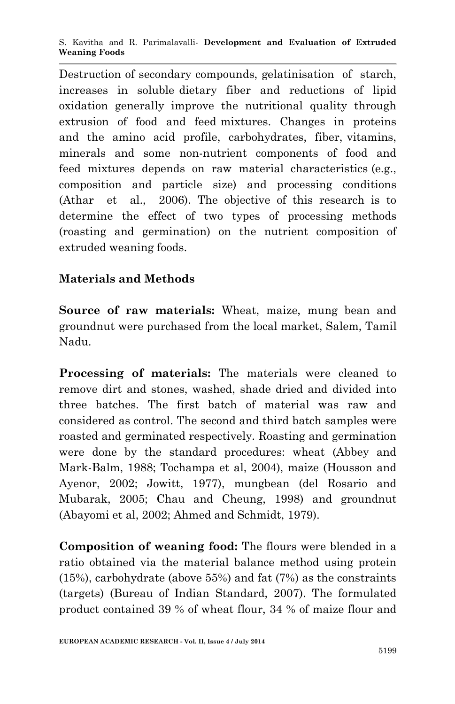Destruction of secondary compounds, gelatinisation of starch, increases in soluble dietary fiber and reductions of lipid oxidation generally improve the nutritional quality through extrusion of food and feed mixtures. Changes in proteins and the amino acid profile, carbohydrates, fiber, vitamins, minerals and some non-nutrient components of food and feed mixtures depends on raw material characteristics (e.g., composition and particle size) and processing conditions (Athar et al., 2006). The objective of this research is to determine the effect of two types of processing methods (roasting and germination) on the nutrient composition of extruded weaning foods.

# **Materials and Methods**

**Source of raw materials:** Wheat, maize, mung bean and groundnut were purchased from the local market, Salem, Tamil Nadu.

**Processing of materials:** The materials were cleaned to remove dirt and stones, washed, shade dried and divided into three batches. The first batch of material was raw and considered as control. The second and third batch samples were roasted and germinated respectively. Roasting and germination were done by the standard procedures: wheat (Abbey and Mark-Balm, 1988; Tochampa et al, 2004), maize (Housson and Ayenor, 2002; Jowitt, 1977), mungbean (del Rosario and Mubarak, 2005; Chau and Cheung, 1998) and groundnut (Abayomi et al, 2002; Ahmed and Schmidt, 1979).

**Composition of weaning food:** The flours were blended in a ratio obtained via the material balance method using protein (15%), carbohydrate (above 55%) and fat (7%) as the constraints (targets) (Bureau of Indian Standard, 2007). The formulated product contained 39 % of wheat flour, 34 % of maize flour and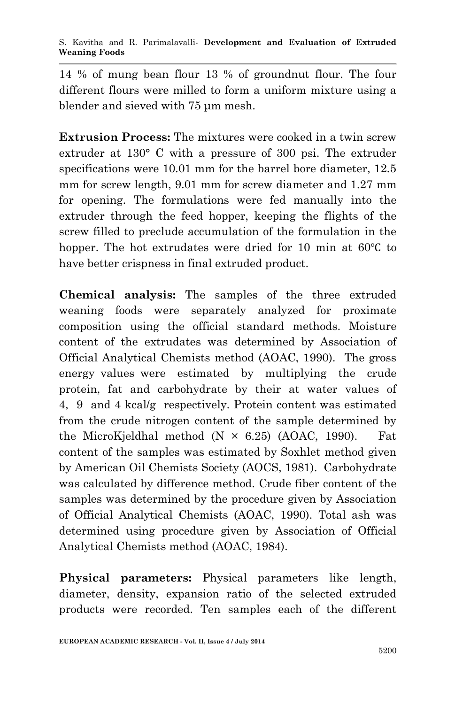14 % of mung bean flour 13 % of groundnut flour. The four different flours were milled to form a uniform mixture using a blender and sieved with 75 μm mesh.

**Extrusion Process:** The mixtures were cooked in a twin screw extruder at 130° C with a pressure of 300 psi. The extruder specifications were 10.01 mm for the barrel bore diameter, 12.5 mm for screw length, 9.01 mm for screw diameter and 1.27 mm for opening. The formulations were fed manually into the extruder through the feed hopper, keeping the flights of the screw filled to preclude accumulation of the formulation in the hopper. The hot extrudates were dried for 10 min at 60℃ to have better crispness in final extruded product.

**Chemical analysis:** The samples of the three extruded weaning foods were separately analyzed for proximate composition using the official standard methods. Moisture content of the extrudates was determined by Association of Official Analytical Chemists method (AOAC, 1990). The gross energy values were estimated by multiplying the crude protein, fat and carbohydrate by their at water values of 4, 9 and 4 kcal/g respectively. Protein content was estimated from the crude nitrogen content of the sample determined by the MicroKjeldhal method  $(N \times 6.25)$  (AOAC, 1990). Fat content of the samples was estimated by Soxhlet method given by American Oil Chemists Society (AOCS, 1981). Carbohydrate was calculated by difference method. Crude fiber content of the samples was determined by the procedure given by Association of Official Analytical Chemists (AOAC, 1990). Total ash was determined using procedure given by Association of Official Analytical Chemists method (AOAC, 1984).

**Physical parameters:** Physical parameters like length, diameter, density, expansion ratio of the selected extruded products were recorded. Ten samples each of the different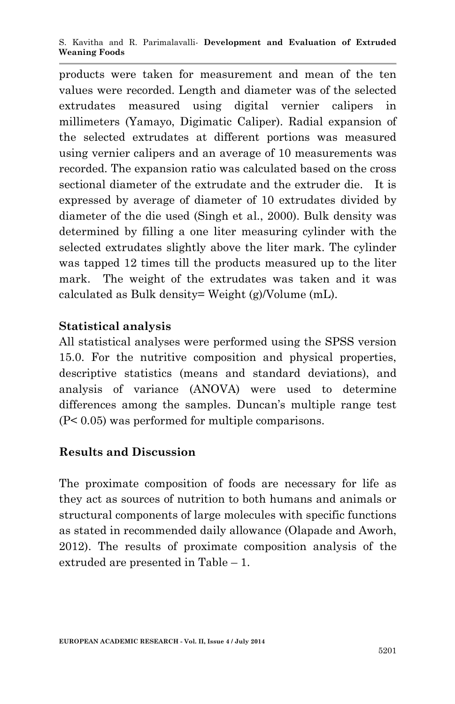S. Kavitha and R. Parimalavalli*-* **Development and Evaluation of Extruded Weaning Foods**

products were taken for measurement and mean of the ten values were recorded. Length and diameter was of the selected extrudates measured using digital vernier calipers in millimeters (Yamayo, Digimatic Caliper). Radial expansion of the selected extrudates at different portions was measured using vernier calipers and an average of 10 measurements was recorded. The expansion ratio was calculated based on the cross sectional diameter of the extrudate and the extruder die. It is expressed by average of diameter of 10 extrudates divided by diameter of the die used (Singh et al., 2000). Bulk density was determined by filling a one liter measuring cylinder with the selected extrudates slightly above the liter mark. The cylinder was tapped 12 times till the products measured up to the liter mark. The weight of the extrudates was taken and it was calculated as Bulk density= Weight (g)/Volume (mL).

### **Statistical analysis**

All statistical analyses were performed using the SPSS version 15.0. For the nutritive composition and physical properties, descriptive statistics (means and standard deviations), and analysis of variance (ANOVA) were used to determine differences among the samples. Duncan's multiple range test (P< 0.05) was performed for multiple comparisons.

### **Results and Discussion**

The proximate composition of foods are necessary for life as they act as sources of nutrition to both humans and animals or structural components of large molecules with specific functions as stated in recommended daily allowance (Olapade and Aworh, 2012). The results of proximate composition analysis of the extruded are presented in Table – 1.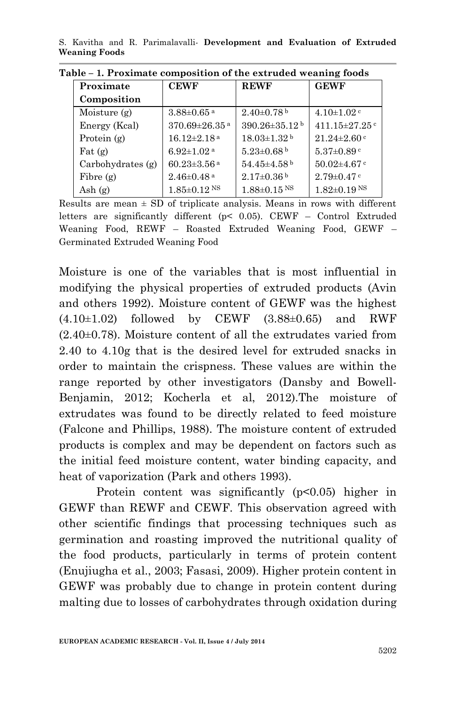S. Kavitha and R. Parimalavalli*-* **Development and Evaluation of Extruded Weaning Foods**

| Proximate                | <b>CEWF</b>                     | <b>REWF</b>                     | <b>GEWF</b>                   |  |  |  |
|--------------------------|---------------------------------|---------------------------------|-------------------------------|--|--|--|
| Composition              |                                 |                                 |                               |  |  |  |
| Moisture $(g)$           | $3.88 \pm 0.65$ <sup>a</sup>    | $2.40\pm0.78$ <sup>b</sup>      | $4.10\pm1.02$ <sup>c</sup>    |  |  |  |
| Energy (Kcal)            | $370.69 \pm 26.35$ <sup>a</sup> | $390.26 \pm 35.12$ <sup>b</sup> | 411.15 $\pm$ 27.25 $\degree$  |  |  |  |
| Protein $(g)$            | $16.12 \pm 2.18$ <sup>a</sup>   | $18.03 \pm 1.32$ <sup>b</sup>   | $21.24 \pm 2.60$ c            |  |  |  |
| $\text{Fat}(\mathbf{g})$ | $6.92 \pm 1.02$ <sup>a</sup>    | $5.23 \pm 0.68$ b               | $5.37 \pm 0.89$ c             |  |  |  |
| $Carbo$ hydrates $(g)$   | $60.23 \pm 3.56$ <sup>a</sup>   | $54.45\pm4.58$ <sup>b</sup>     | $50.02 \pm 4.67$ c            |  |  |  |
| Fibre $(g)$              | $2.46\pm0.48$ <sup>a</sup>      | $2.17\pm0.36b$                  | $2.79 \pm 0.47$ c             |  |  |  |
| Ash $(g)$                | $1.85 \pm 0.12$ NS              | $1.88 \pm 0.15$ <sup>NS</sup>   | $1.82 \pm 0.19$ <sup>NS</sup> |  |  |  |

**Table – 1. Proximate composition of the extruded weaning foods**

Results are mean  $\pm$  SD of triplicate analysis. Means in rows with different letters are significantly different (p< 0.05). CEWF – Control Extruded Weaning Food, REWF – Roasted Extruded Weaning Food, GEWF – Germinated Extruded Weaning Food

Moisture is one of the variables that is most influential in modifying the physical properties of extruded products (Avin and others 1992). Moisture content of GEWF was the highest  $(4.10\pm1.02)$  followed by CEWF  $(3.88\pm0.65)$  and RWF (2.40±0.78). Moisture content of all the extrudates varied from 2.40 to 4.10g that is the desired level for extruded snacks in order to maintain the crispness. These values are within the range reported by other investigators (Dansby and Bowell-Benjamin, 2012; Kocherla et al, 2012).The moisture of extrudates was found to be directly related to feed moisture (Falcone and Phillips, 1988). The moisture content of extruded products is complex and may be dependent on factors such as the initial feed moisture content, water binding capacity, and heat of vaporization (Park and others 1993).

Protein content was significantly  $(p<0.05)$  higher in GEWF than REWF and CEWF. This observation agreed with other scientific findings that processing techniques such as germination and roasting improved the nutritional quality of the food products, particularly in terms of protein content (Enujiugha et al., 2003; Fasasi, 2009). Higher protein content in GEWF was probably due to change in protein content during malting due to losses of carbohydrates through oxidation during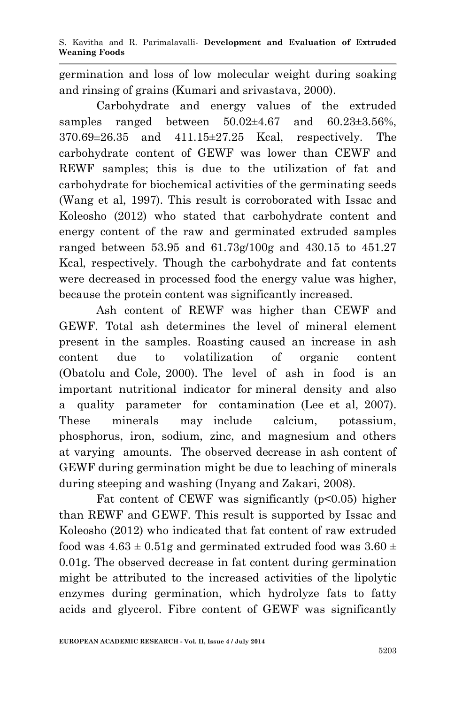germination and loss of low molecular weight during soaking and rinsing of grains (Kumari and srivastava, 2000).

Carbohydrate and energy values of the extruded samples ranged between  $50.02 \pm 4.67$  and  $60.23 \pm 3.56\%$ . 370.69±26.35 and 411.15±27.25 Kcal, respectively. The carbohydrate content of GEWF was lower than CEWF and REWF samples; this is due to the utilization of fat and carbohydrate for biochemical activities of the germinating seeds (Wang et al, 1997). This result is corroborated with Issac and Koleosho (2012) who stated that carbohydrate content and energy content of the raw and germinated extruded samples ranged between 53.95 and 61.73g/100g and 430.15 to 451.27 Kcal, respectively. Though the carbohydrate and fat contents were decreased in processed food the energy value was higher, because the protein content was significantly increased.

Ash content of REWF was higher than CEWF and GEWF. Total ash determines the level of mineral element present in the samples. Roasting caused an increase in ash content due to volatilization of organic content (Obatolu and Cole, 2000). The level of ash in food is an important nutritional indicator for mineral density and also a quality parameter for contamination (Lee et al, 2007). These minerals may include calcium, potassium, phosphorus, iron, sodium, zinc, and magnesium and others at varying amounts. The observed decrease in ash content of GEWF during germination might be due to leaching of minerals during steeping and washing (Inyang and Zakari, 2008).

Fat content of CEWF was significantly  $(p<0.05)$  higher than REWF and GEWF. This result is supported by Issac and Koleosho (2012) who indicated that fat content of raw extruded food was  $4.63 \pm 0.51$ g and germinated extruded food was  $3.60 \pm 0.51$ 0.01g. The observed decrease in fat content during germination might be attributed to the increased activities of the lipolytic enzymes during germination, which hydrolyze fats to fatty acids and glycerol. Fibre content of GEWF was significantly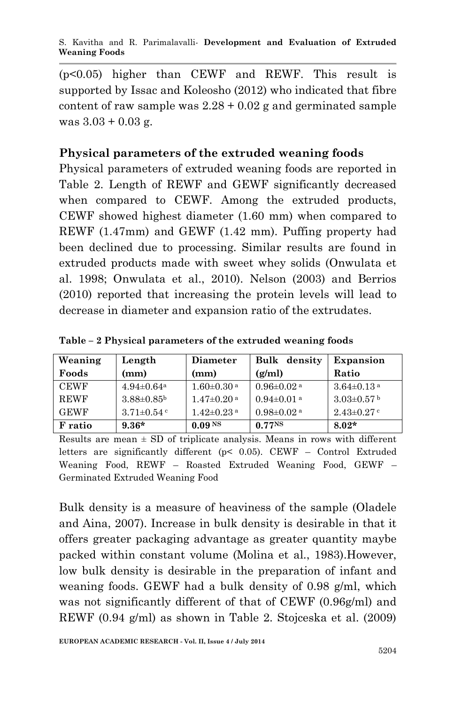S. Kavitha and R. Parimalavalli*-* **Development and Evaluation of Extruded Weaning Foods**

(p<0.05) higher than CEWF and REWF. This result is supported by Issac and Koleosho (2012) who indicated that fibre content of raw sample was  $2.28 + 0.02$  g and germinated sample was  $3.03 + 0.03$  g.

### **Physical parameters of the extruded weaning foods**

Physical parameters of extruded weaning foods are reported in Table 2. Length of REWF and GEWF significantly decreased when compared to CEWF. Among the extruded products, CEWF showed highest diameter (1.60 mm) when compared to REWF (1.47mm) and GEWF (1.42 mm). Puffing property had been declined due to processing. Similar results are found in extruded products made with sweet whey solids (Onwulata et al. 1998; Onwulata et al., 2010). Nelson (2003) and Berrios (2010) reported that increasing the protein levels will lead to decrease in diameter and expansion ratio of the extrudates.

| Weaning     | Length                       | <b>Diameter</b>              | Bulk density                 | Expansion                    |
|-------------|------------------------------|------------------------------|------------------------------|------------------------------|
| Foods       | (mm)                         | (mm)                         | (g/ml)                       | Ratio                        |
| <b>CEWF</b> | $4.94 \pm 0.64$ <sup>a</sup> | $1.60 \pm 0.30$ <sup>a</sup> | $0.96 \pm 0.02$ <sup>a</sup> | $3.64 \pm 0.13$ <sup>a</sup> |
| <b>REWF</b> | $3.88 \pm 0.85^{\rm b}$      | $1.47 \pm 0.20$ <sup>a</sup> | $0.94 \pm 0.01$ <sup>a</sup> | $3.03 \pm 0.57$ b            |
| <b>GEWF</b> | $3.71 \pm 0.54$ c            | $1.42 \pm 0.23$ <sup>a</sup> | $0.98 \pm 0.02$ <sup>a</sup> | $2.43 \pm 0.27$ c            |
| F ratio     | $9.36*$                      | 0.09 <sup>NS</sup>           | 0.77 <sup>NS</sup>           | $8.02*$                      |

**Table – 2 Physical parameters of the extruded weaning foods**

Results are mean  $\pm$  SD of triplicate analysis. Means in rows with different letters are significantly different ( $p<$  0.05). CEWF – Control Extruded Weaning Food, REWF – Roasted Extruded Weaning Food, GEWF – Germinated Extruded Weaning Food

Bulk density is a measure of heaviness of the sample (Oladele and Aina, 2007). Increase in bulk density is desirable in that it offers greater packaging advantage as greater quantity maybe packed within constant volume (Molina et al., 1983).However, low bulk density is desirable in the preparation of infant and weaning foods. GEWF had a bulk density of 0.98 g/ml, which was not significantly different of that of CEWF (0.96g/ml) and REWF (0.94 g/ml) as shown in Table 2. Stojceska et al. (2009)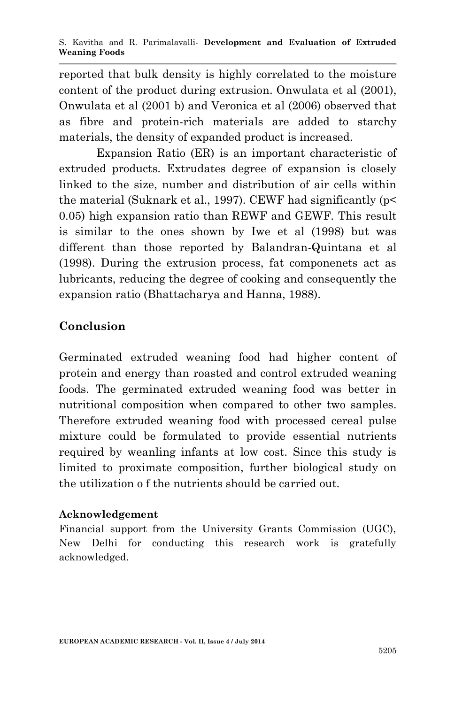reported that bulk density is highly correlated to the moisture content of the product during extrusion. Onwulata et al (2001), Onwulata et al (2001 b) and Veronica et al (2006) observed that as fibre and protein-rich materials are added to starchy materials, the density of expanded product is increased.

Expansion Ratio (ER) is an important characteristic of extruded products. Extrudates degree of expansion is closely linked to the size, number and distribution of air cells within the material (Suknark et al., 1997). CEWF had significantly (p< 0.05) high expansion ratio than REWF and GEWF. This result is similar to the ones shown by Iwe et al (1998) but was different than those reported by Balandran-Quintana et al (1998). During the extrusion process, fat componenets act as lubricants, reducing the degree of cooking and consequently the expansion ratio (Bhattacharya and Hanna, 1988).

## **Conclusion**

Germinated extruded weaning food had higher content of protein and energy than roasted and control extruded weaning foods. The germinated extruded weaning food was better in nutritional composition when compared to other two samples. Therefore extruded weaning food with processed cereal pulse mixture could be formulated to provide essential nutrients required by weanling infants at low cost. Since this study is limited to proximate composition, further biological study on the utilization o f the nutrients should be carried out.

### **Acknowledgement**

Financial support from the University Grants Commission (UGC), New Delhi for conducting this research work is gratefully acknowledged.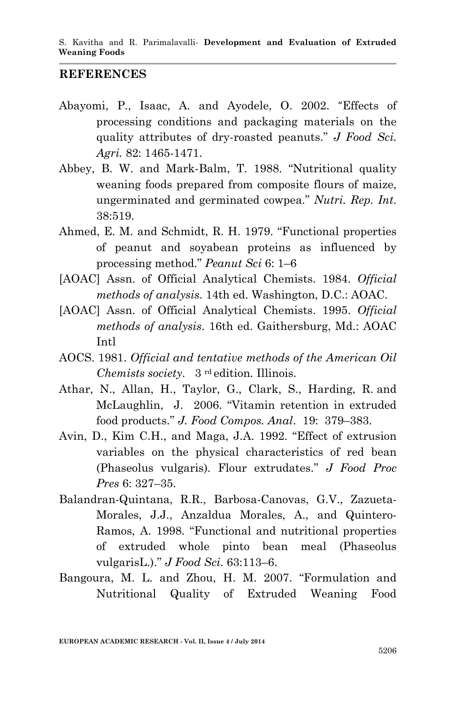#### **REFERENCES**

- Abayomi, P., Isaac, A. and Ayodele, O. 2002. "Effects of processing conditions and packaging materials on the quality attributes of dry-roasted peanuts." *J Food Sci. Agri.* 82: 1465-1471.
- Abbey, B. W. and Mark-Balm, T. 1988. "Nutritional quality weaning foods prepared from composite flours of maize, ungerminated and germinated cowpea." *Nutri. Rep. Int*. 38:519.
- Ahmed, E. M. and Schmidt, R. H. 1979. "Functional properties of peanut and soyabean proteins as influenced by processing method." *Peanut Sci* 6: 1–6
- [AOAC] Assn. of Official Analytical Chemists. 1984. *Official methods of analysis*. 14th ed. Washington, D.C.: AOAC.
- [AOAC] Assn. of Official Analytical Chemists. 1995. *Official methods of analysis*. 16th ed. Gaithersburg, Md.: AOAC Intl
- AOCS. 1981. *Official and tentative methods of the American Oil Chemists society.* 3<sup>rd</sup> edition. Illinois.
- Athar, N., Allan, H., Taylor, G., Clark, S., Harding, R. and McLaughlin, J. 2006. "Vitamin retention in extruded food products." *J. Food Compos. Anal*. 19: 379–383.
- Avin, D., Kim C.H., and Maga, J.A. 1992. "Effect of extrusion variables on the physical characteristics of red bean (Phaseolus vulgaris). Flour extrudates." *J Food Proc Pres* 6: 327–35.
- Balandran-Quintana, R.R., Barbosa-Canovas, G.V., Zazueta-Morales, J.J., Anzaldua Morales, A., and Quintero-Ramos, A. 1998. "Functional and nutritional properties of extruded whole pinto bean meal (Phaseolus vulgarisL.)." *J Food Sci*. 63:113–6.
- Bangoura, M. L. and Zhou, H. M. 2007. "Formulation and Nutritional Quality of Extruded Weaning Food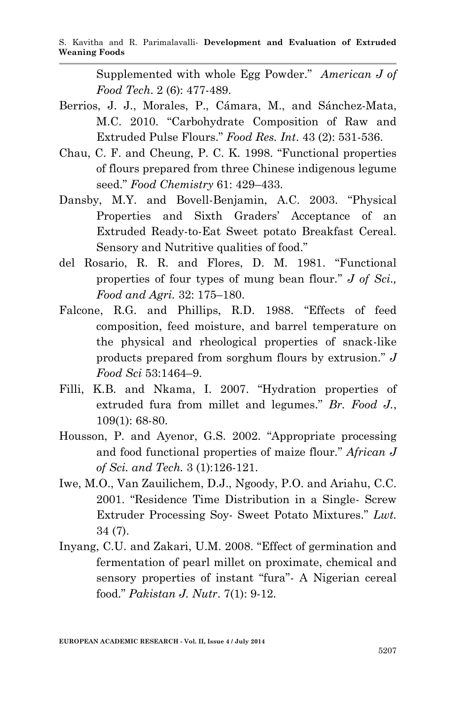Supplemented with whole Egg Powder." *American J of Food Tech*. 2 (6): 477-489.

- Berrios, J. J., Morales, P., Cámara, M., and Sánchez-Mata, M.C. 2010. "Carbohydrate Composition of Raw and Extruded Pulse Flours." *Food Res. Int*. 43 (2): 531-536.
- Chau, C. F. and Cheung, P. C. K. 1998. "Functional properties of flours prepared from three Chinese indigenous legume seed." *Food Chemistry* 61: 429–433.
- Dansby, M.Y. and Bovell-Benjamin, A.C. 2003. "Physical Properties and Sixth Graders' Acceptance of an Extruded Ready-to-Eat Sweet potato Breakfast Cereal. Sensory and Nutritive qualities of food."
- del Rosario, R. R. and Flores, D. M. 1981. "Functional properties of four types of mung bean flour." *J of Sci., Food and Agri.* 32: 175–180.
- Falcone, R.G. and Phillips, R.D. 1988. "Effects of feed composition, feed moisture, and barrel temperature on the physical and rheological properties of snack-like products prepared from sorghum flours by extrusion." *J Food Sci* 53:1464–9.
- Filli, K.B. and Nkama, I. 2007. "Hydration properties of extruded fura from millet and legumes." *Br. Food J.*, 109(1): 68-80.
- Housson, P. and Ayenor, G.S. 2002. "Appropriate processing and food functional properties of maize flour." *African J of Sci. and Tech.* 3 (1):126-121.
- Iwe, M.O., Van Zauilichem, D.J., Ngoody, P.O. and Ariahu, C.C. 2001. "Residence Time Distribution in a Single- Screw Extruder Processing Soy- Sweet Potato Mixtures." *Lwt.* 34 (7).
- Inyang, C.U. and Zakari, U.M. 2008. "Effect of germination and fermentation of pearl millet on proximate, chemical and sensory properties of instant "fura"- A Nigerian cereal food." *Pakistan J. Nutr*. 7(1): 9-12.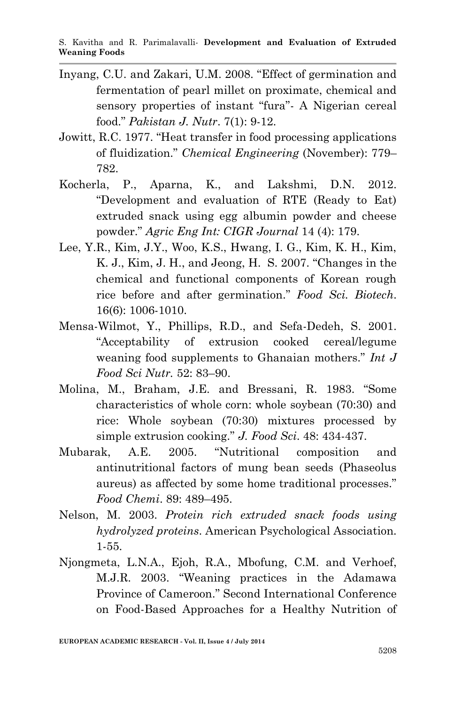- Inyang, C.U. and Zakari, U.M. 2008. "Effect of germination and fermentation of pearl millet on proximate, chemical and sensory properties of instant "fura"- A Nigerian cereal food." *Pakistan J. Nutr*. 7(1): 9-12.
- Jowitt, R.C. 1977. "Heat transfer in food processing applications of fluidization." *Chemical Engineering* (November): 779– 782.
- Kocherla, P., Aparna, K., and Lakshmi, D.N. 2012. "Development and evaluation of RTE (Ready to Eat) extruded snack using egg albumin powder and cheese powder." *Agric Eng Int: CIGR Journal* 14 (4): 179.
- Lee, Y.R., Kim, J.Y., Woo, K.S., Hwang, I. G., Kim, K. H., Kim, K. J., Kim, J. H., and Jeong, H. S. 2007. "Changes in the chemical and functional components of Korean rough rice before and after germination." *Food Sci. Biotech*. 16(6): 1006-1010.
- Mensa-Wilmot, Y., Phillips, R.D., and Sefa-Dedeh, S. 2001. "Acceptability of extrusion cooked cereal/legume weaning food supplements to Ghanaian mothers." *Int J Food Sci Nutr.* 52: 83–90.
- Molina, M., Braham, J.E. and Bressani, R. 1983. "Some characteristics of whole corn: whole soybean (70:30) and rice: Whole soybean (70:30) mixtures processed by simple extrusion cooking." *J. Food Sci*. 48: 434-437.
- Mubarak, A.E. 2005. "Nutritional composition and antinutritional factors of mung bean seeds (Phaseolus aureus) as affected by some home traditional processes." *Food Chemi*. 89: 489–495.
- Nelson, M. 2003. *Protein rich extruded snack foods using hydrolyzed proteins*. American Psychological Association. 1-55.
- Njongmeta, L.N.A., Ejoh, R.A., Mbofung, C.M. and Verhoef, M.J.R. 2003. "Weaning practices in the Adamawa Province of Cameroon." Second International Conference on Food-Based Approaches for a Healthy Nutrition of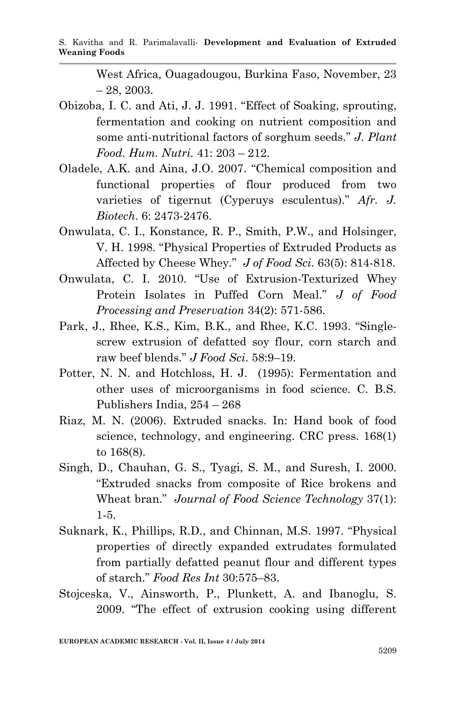West Africa, Ouagadougou, Burkina Faso, November, 23  $-28, 2003.$ 

- Obizoba, I. C. and Ati, J. J. 1991. "Effect of Soaking, sprouting, fermentation and cooking on nutrient composition and some anti-nutritional factors of sorghum seeds." *J. Plant Food. Hum. Nutri.* 41: 203 – 212.
- Oladele, A.K. and Aina, J.O. 2007. "Chemical composition and functional properties of flour produced from two varieties of tigernut (Cyperuys esculentus)." *Afr. J. Biotech*. 6: 2473-2476.
- Onwulata, C. I., Konstance, R. P., Smith, P.W., and Holsinger, V. H. 1998. "Physical Properties of Extruded Products as Affected by Cheese Whey." *J of Food Sci*. 63(5): 814-818.
- Onwulata, C. I. 2010. "Use of Extrusion-Texturized Whey Protein Isolates in Puffed Corn Meal." *J of Food Processing and Preservation* 34(2): 571-586.
- Park, J., Rhee, K.S., Kim, B.K., and Rhee, K.C. 1993. "Singlescrew extrusion of defatted soy flour, corn starch and raw beef blends." *J Food Sci*. 58:9–19.
- Potter, N. N. and Hotchloss, H. J. (1995): Fermentation and other uses of microorganisms in food science. C. B.S. Publishers India, 254 – 268
- Riaz, M. N. (2006). Extruded snacks. In: Hand book of food science, technology, and engineering. CRC press. 168(1) to 168(8).
- Singh, D., Chauhan, G. S., Tyagi, S. M., and Suresh, I. 2000. "Extruded snacks from composite of Rice brokens and Wheat bran." *Journal of Food Science Technology* 37(1): 1-5.
- Suknark, K., Phillips, R.D., and Chinnan, M.S. 1997. "Physical properties of directly expanded extrudates formulated from partially defatted peanut flour and different types of starch." *Food Res Int* 30:575–83.
- Stojceska, V., Ainsworth, P., Plunkett, A. and Ibanoglu, S. 2009. "The effect of extrusion cooking using different